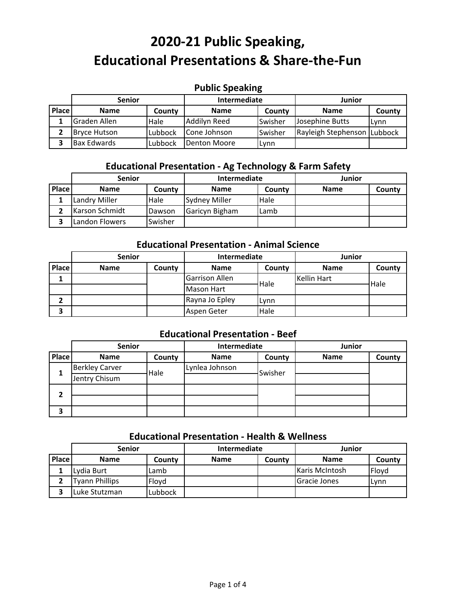## **Public Speaking**

|              | <b>Senior</b>       |         | Intermediate |                | Junior                      |        |
|--------------|---------------------|---------|--------------|----------------|-----------------------------|--------|
| <b>Place</b> | <b>Name</b>         | County  | <b>Name</b>  | County         | <b>Name</b>                 | County |
|              | Graden Allen        | Hale    | Addilyn Reed | <b>Swisher</b> | Josephine Butts             | Lynn   |
|              | <b>Bryce Hutson</b> | Lubbock | Cone Johnson | Swisher        | Rayleigh Stephenson Lubbock |        |
|              | <b>Bax Edwards</b>  | Lubbock | Denton Moore | Lynn           |                             |        |

## **Educational Presentation ‐ Ag Technology & Farm Safety**

|              | <b>Senior</b>  |         | Intermediate         |        | Junior      |        |
|--------------|----------------|---------|----------------------|--------|-------------|--------|
| <b>Place</b> | <b>Name</b>    | County  | <b>Name</b>          | County | <b>Name</b> | County |
|              | Landry Miller  | Hale    | <b>Sydney Miller</b> | Hale   |             |        |
|              | Karson Schmidt | Dawson  | Garicyn Bigham       | Lamb   |             |        |
|              | Landon Flowers | Swisher |                      |        |             |        |

## **Educational Presentation ‐ Animal Science**

|       | <b>Senior</b> |        | Intermediate          |        | <b>Junior</b>      |        |
|-------|---------------|--------|-----------------------|--------|--------------------|--------|
| Place | <b>Name</b>   | County | <b>Name</b>           | County | <b>Name</b>        | County |
|       |               |        | <b>Garrison Allen</b> | Hale   | <b>Kellin Hart</b> | Hale   |
|       |               |        | <b>Mason Hart</b>     |        |                    |        |
| 2     |               |        | Rayna Jo Epley        | Lynn   |                    |        |
| 3     |               |        | Aspen Geter           | Hale   |                    |        |

## **Educational Presentation ‐ Beef**

|       | <b>Senior</b>         |        | Intermediate   |         | <b>Junior</b> |        |
|-------|-----------------------|--------|----------------|---------|---------------|--------|
| Place | <b>Name</b>           | County | <b>Name</b>    | County  | <b>Name</b>   | County |
|       | <b>Berkley Carver</b> | Hale   | Lynlea Johnson | Swisher |               |        |
| 1     | Jentry Chisum         |        |                |         |               |        |
| 2     |                       |        |                |         |               |        |
|       |                       |        |                |         |               |        |
| 3     |                       |        |                |         |               |        |

#### **Educational Presentation ‐ Health & Wellness**

|              | <b>Senior</b>  |         | Intermediate |        | Junior                |        |
|--------------|----------------|---------|--------------|--------|-----------------------|--------|
| <b>Place</b> | <b>Name</b>    | Countv  | <b>Name</b>  | County | <b>Name</b>           | County |
|              | Lydia Burt     | Lamb    |              |        | <b>Karis McIntosh</b> | Floyd  |
|              | Tyann Phillips | Floyd   |              |        | <b>Gracie Jones</b>   | Lynn   |
|              | Luke Stutzman  | Lubbock |              |        |                       |        |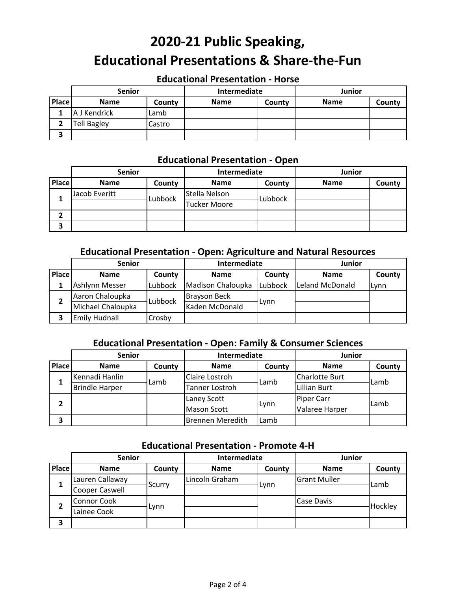### **Educational Presentation ‐ Horse**

|        | <b>Senior</b>      |        | Intermediate |        | <b>Junior</b> |        |
|--------|--------------------|--------|--------------|--------|---------------|--------|
| Place  | <b>Name</b>        | County | <b>Name</b>  | County | <b>Name</b>   | County |
|        | A J Kendrick       | Lamb   |              |        |               |        |
|        | <b>Tell Bagley</b> | Castro |              |        |               |        |
| ∍<br>э |                    |        |              |        |               |        |

#### **Educational Presentation ‐ Open**

|       | <b>Senior</b> |         | Intermediate        |         | <b>Junior</b> |        |
|-------|---------------|---------|---------------------|---------|---------------|--------|
| Place | <b>Name</b>   | County  | <b>Name</b>         | County  | <b>Name</b>   | County |
|       | Jacob Everitt | Lubbock | Stella Nelson       | Lubbock |               |        |
| ┻     |               |         | <b>Tucker Moore</b> |         |               |        |
| ▴     |               |         |                     |         |               |        |
| 3     |               |         |                     |         |               |        |

## **Educational Presentation ‐ Open: Agriculture and Natural Resources**

|              | <b>Senior</b>                              |         | Intermediate      |         | Junior          |        |
|--------------|--------------------------------------------|---------|-------------------|---------|-----------------|--------|
| <b>Place</b> | <b>Name</b>                                | County  | <b>Name</b>       | County  | <b>Name</b>     | County |
|              | Ashlynn Messer                             | Lubbock | Madison Chaloupka | Lubbock | Leland McDonald | Lynn   |
| 2            | Aaron Chaloupka<br>Brayson Beck<br>Lubbock |         |                   |         |                 |        |
|              | Michael Chaloupka                          |         | Kaden McDonald    | ∟vnn    |                 |        |
|              | Emily Hudnall                              | Crosby  |                   |         |                 |        |

## **Educational Presentation ‐ Open: Family & Consumer Sciences**

|       | <b>Senior</b>                    |        | Intermediate            |        | Junior              |        |
|-------|----------------------------------|--------|-------------------------|--------|---------------------|--------|
| Place | <b>Name</b>                      | County | <b>Name</b>             | County | <b>Name</b>         | County |
|       | Kennadi Hanlin<br>Claire Lostroh | ∟amb   | Charlotte Burt          | Lamb   |                     |        |
|       | <b>Brindle Harper</b>            | Lamb   | Tanner Lostroh          |        | <b>Lillian Burt</b> |        |
| 2     |                                  |        | Laney Scott             | Lynn   | <b>Piper Carr</b>   | Lamb   |
|       |                                  |        | <b>Mason Scott</b>      |        | Valaree Harper      |        |
| З     |                                  |        | <b>Brennen Meredith</b> | Lamb   |                     |        |

## **Educational Presentation ‐ Promote 4‐H**

|       | <b>Senior</b>         |        | Intermediate   |        | Junior              |         |
|-------|-----------------------|--------|----------------|--------|---------------------|---------|
| Place | <b>Name</b>           | County | <b>Name</b>    | County | <b>Name</b>         | County  |
|       | Lauren Callaway       |        | Lincoln Graham |        | <b>Grant Muller</b> | Lamb    |
| 1     | <b>Cooper Caswell</b> | Scurry |                | Lynn   |                     |         |
|       | <b>Connor Cook</b>    |        |                |        | Case Davis          | Hockley |
| 2     | Lainee Cook           | Lynn   |                |        |                     |         |
| 3     |                       |        |                |        |                     |         |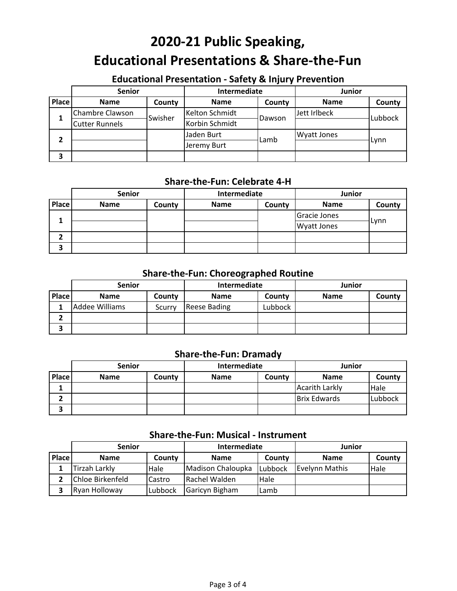## **Educational Presentation ‐ Safety & Injury Prevention**

|       | <b>Senior</b>         |         | Intermediate   |        | <b>Junior</b>      |         |
|-------|-----------------------|---------|----------------|--------|--------------------|---------|
| Place | <b>Name</b>           | County  | <b>Name</b>    | County | <b>Name</b>        | County  |
|       | Chambre Clawson       | Swisher | Kelton Schmidt | Dawson | Jett Irlbeck       | Lubbock |
| 1     | <b>Cutter Runnels</b> |         | Korbin Schmidt |        |                    |         |
| າ     |                       |         | Jaden Burt     | ∟amb   | <b>Wyatt Jones</b> | Lynn    |
|       |                       |         | Jeremy Burt    |        |                    |         |
| З     |                       |         |                |        |                    |         |

## **Share‐the‐Fun: Celebrate 4‐H**

|              | <b>Senior</b> |        | Intermediate |        | <b>Junior</b>      |        |
|--------------|---------------|--------|--------------|--------|--------------------|--------|
| <b>Place</b> | <b>Name</b>   | County | <b>Name</b>  | County | <b>Name</b>        | County |
| 1            |               |        |              |        | Gracie Jones       |        |
|              |               |        |              |        | <b>Wyatt Jones</b> | Lynn   |
| ר<br>▴       |               |        |              |        |                    |        |
| 3            |               |        |              |        |                    |        |

## **Share‐the‐Fun: Choreographed Routine**

|       | <b>Senior</b>  |        | Intermediate        |         | <b>Junior</b> |        |
|-------|----------------|--------|---------------------|---------|---------------|--------|
| Place | <b>Name</b>    | County | <b>Name</b>         | County  | <b>Name</b>   | County |
|       | Addee Williams | Scurry | <b>Reese Bading</b> | Lubbock |               |        |
| ◠     |                |        |                     |         |               |        |
| 3     |                |        |                     |         |               |        |

#### **Share‐the‐Fun: Dramady**

|       | <b>Senior</b> |        | Intermediate |        | <b>Junior</b>         |         |
|-------|---------------|--------|--------------|--------|-----------------------|---------|
| Place | <b>Name</b>   | County | <b>Name</b>  | County | <b>Name</b>           | County  |
|       |               |        |              |        | <b>Acarith Larkly</b> | Hale    |
|       |               |        |              |        | <b>Brix Edwards</b>   | Lubbock |
| 3     |               |        |              |        |                       |         |

#### **Share‐the‐Fun: Musical ‐ Instrument**

|       | <b>Senior</b>    |         | <b>Intermediate</b> |         | Junior         |        |
|-------|------------------|---------|---------------------|---------|----------------|--------|
| Place | <b>Name</b>      | County  | <b>Name</b>         | County  | <b>Name</b>    | County |
|       | Tirzah Larkly    | Hale    | Madison Chaloupka   | Lubbock | Evelynn Mathis | Hale   |
|       | Chloe Birkenfeld | Castro  | Rachel Walden       | Hale    |                |        |
|       | Ryan Holloway    | Lubbock | Garicyn Bigham      | Lamb    |                |        |